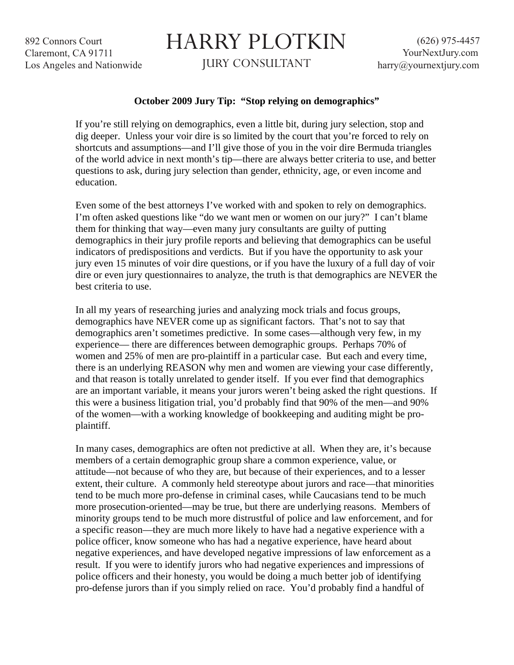892 Connors Court Claremont, CA 91711 Los Angeles and Nationwide

## HARRY PLOTKIN

JURY CONSULTANT

## **October 2009 Jury Tip: "Stop relying on demographics"**

If you're still relying on demographics, even a little bit, during jury selection, stop and dig deeper. Unless your voir dire is so limited by the court that you're forced to rely on shortcuts and assumptions—and I'll give those of you in the voir dire Bermuda triangles of the world advice in next month's tip—there are always better criteria to use, and better questions to ask, during jury selection than gender, ethnicity, age, or even income and education.

Even some of the best attorneys I've worked with and spoken to rely on demographics. I'm often asked questions like "do we want men or women on our jury?" I can't blame them for thinking that way—even many jury consultants are guilty of putting demographics in their jury profile reports and believing that demographics can be useful indicators of predispositions and verdicts. But if you have the opportunity to ask your jury even 15 minutes of voir dire questions, or if you have the luxury of a full day of voir dire or even jury questionnaires to analyze, the truth is that demographics are NEVER the best criteria to use.

In all my years of researching juries and analyzing mock trials and focus groups, demographics have NEVER come up as significant factors. That's not to say that demographics aren't sometimes predictive. In some cases—although very few, in my experience— there are differences between demographic groups. Perhaps 70% of women and 25% of men are pro-plaintiff in a particular case. But each and every time, there is an underlying REASON why men and women are viewing your case differently, and that reason is totally unrelated to gender itself. If you ever find that demographics are an important variable, it means your jurors weren't being asked the right questions. If this were a business litigation trial, you'd probably find that 90% of the men—and 90% of the women—with a working knowledge of bookkeeping and auditing might be proplaintiff.

In many cases, demographics are often not predictive at all. When they are, it's because members of a certain demographic group share a common experience, value, or attitude—not because of who they are, but because of their experiences, and to a lesser extent, their culture. A commonly held stereotype about jurors and race—that minorities tend to be much more pro-defense in criminal cases, while Caucasians tend to be much more prosecution-oriented—may be true, but there are underlying reasons. Members of minority groups tend to be much more distrustful of police and law enforcement, and for a specific reason—they are much more likely to have had a negative experience with a police officer, know someone who has had a negative experience, have heard about negative experiences, and have developed negative impressions of law enforcement as a result. If you were to identify jurors who had negative experiences and impressions of police officers and their honesty, you would be doing a much better job of identifying pro-defense jurors than if you simply relied on race. You'd probably find a handful of